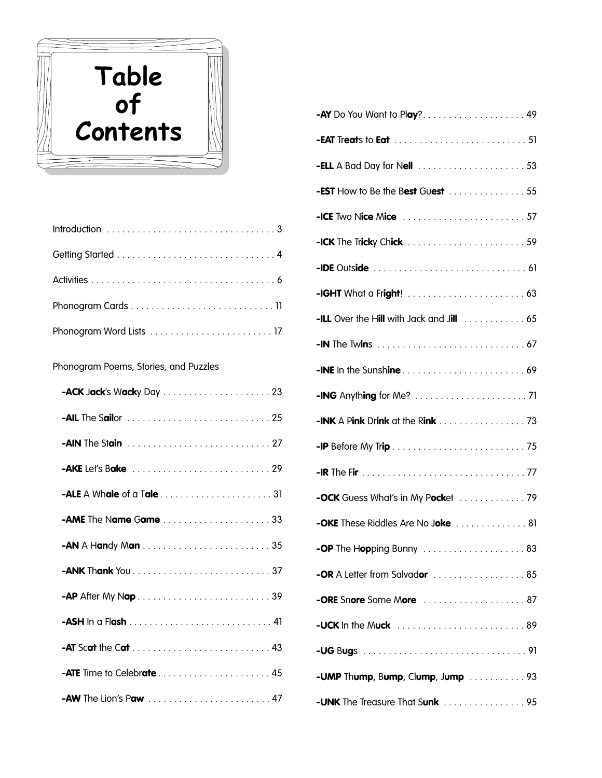

Phonogram Poems, Stories, and Puzzles

| -AME The Name Game 33  |
|------------------------|
|                        |
|                        |
|                        |
|                        |
|                        |
|                        |
| -AW The Lion's Paw  47 |

| -AY Do You Want to Play? 49                                                               |
|-------------------------------------------------------------------------------------------|
|                                                                                           |
|                                                                                           |
| <b>-EST</b> How to Be the Best Guest 55                                                   |
| <b>-ICE</b> Two Nice Mice 57                                                              |
| <b>-ICK</b> The Tricky Chick $\ldots \ldots \ldots \ldots \ldots \ldots \ldots \ldots 59$ |
|                                                                                           |
|                                                                                           |
| -ILL Over the Hill with Jack and Jill  65                                                 |
|                                                                                           |
|                                                                                           |
|                                                                                           |
|                                                                                           |
|                                                                                           |
|                                                                                           |
|                                                                                           |
| -OKE These Riddles Are No Joke  81                                                        |
| -OP The Hopping Bunny 83                                                                  |
| <b>-OR</b> A Letter from Salvador  85                                                     |
| <b>-ORE</b> Snore Some More 87                                                            |
|                                                                                           |
|                                                                                           |
| -UMP Thump, Bump, Clump, Jump  93                                                         |
| <b>-UNK</b> The Treasure That Sunk 95                                                     |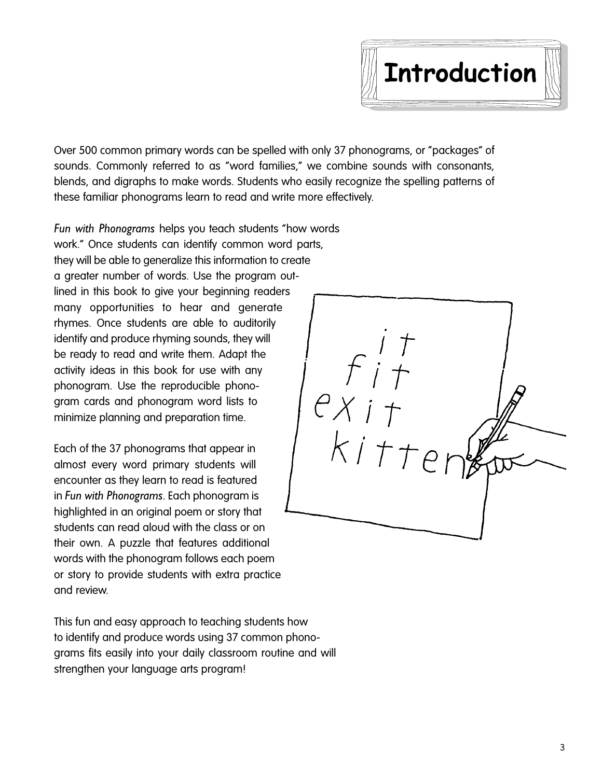

Over 500 common primary words can be spelled with only 37 phonograms, or "packages" of sounds. Commonly referred to as "word families," we combine sounds with consonants, blends, and digraphs to make words. Students who easily recognize the spelling patterns of these familiar phonograms learn to read and write more effectively.

*Fun with Phonograms* helps you teach students "how words work." Once students can identify common word parts, they will be able to generalize this information to create a greater number of words. Use the program outlined in this book to give your beginning readers many opportunities to hear and generate rhymes. Once students are able to auditorily identify and produce rhyming sounds, they will be ready to read and write them. Adapt the activity ideas in this book for use with any phonogram. Use the reproducible phonogram cards and phonogram word lists to minimize planning and preparation time.

Each of the 37 phonograms that appear in almost every word primary students will encounter as they learn to read is featured in *Fun with Phonograms*. Each phonogram is highlighted in an original poem or story that students can read aloud with the class or on their own. A puzzle that features additional words with the phonogram follows each poem or story to provide students with extra practice and review.

This fun and easy approach to teaching students how to identify and produce words using 37 common phonograms fits easily into your daily classroom routine and will strengthen your language arts program!

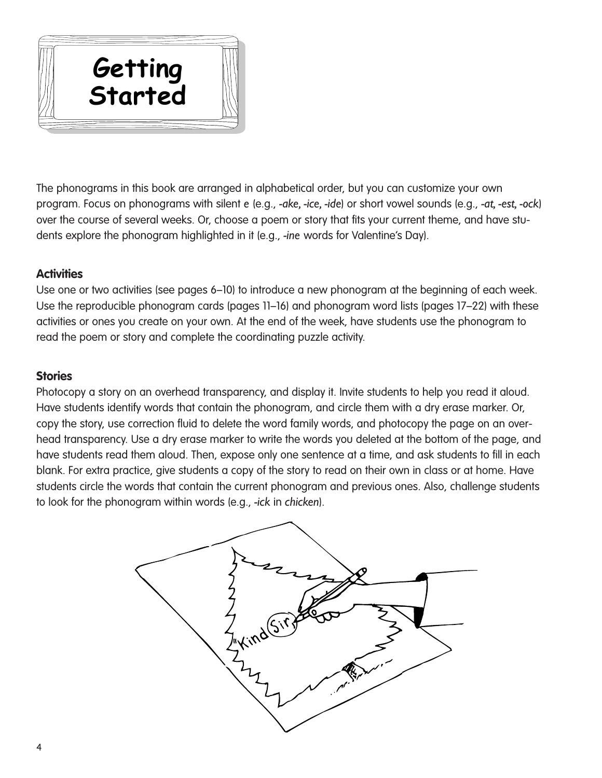

The phonograms in this book are arranged in alphabetical order, but you can customize your own program. Focus on phonograms with silent *e* (e.g., *-ake, -ice, -ide*) or short vowel sounds (e.g., *-at, -est, -ock*) over the course of several weeks. Or, choose a poem or story that fits your current theme, and have students explore the phonogram highlighted in it (e.g., *-ine* words for Valentine's Day).

# **Activities**

Use one or two activities (see pages 6–10) to introduce a new phonogram at the beginning of each week. Use the reproducible phonogram cards (pages 11–16) and phonogram word lists (pages 17–22) with these activities or ones you create on your own. At the end of the week, have students use the phonogram to read the poem or story and complete the coordinating puzzle activity.

## **Stories**

Photocopy a story on an overhead transparency, and display it. Invite students to help you read it aloud. Have students identify words that contain the phonogram, and circle them with a dry erase marker. Or, copy the story, use correction fluid to delete the word family words, and photocopy the page on an overhead transparency. Use a dry erase marker to write the words you deleted at the bottom of the page, and have students read them aloud. Then, expose only one sentence at a time, and ask students to fill in each blank. For extra practice, give students a copy of the story to read on their own in class or at home. Have students circle the words that contain the current phonogram and previous ones. Also, challenge students to look for the phonogram within words (e.g., *-ick* in *chicken*).

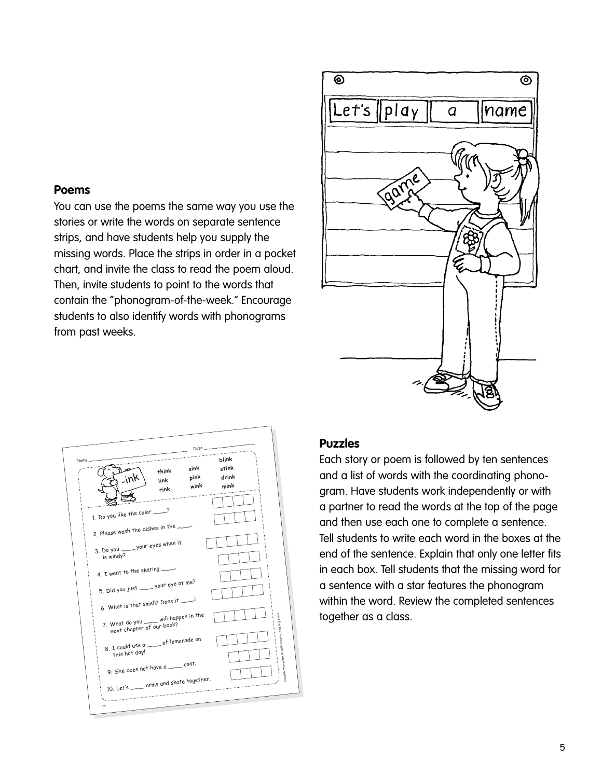## **Poems**

You can use the poems the same way you use the stories or write the words on separate sentence strips, and have students help you supply the missing words. Place the strips in order in a pocket chart, and invite the class to read the poem aloud. Then, invite students to point to the words that contain the "phonogram-of-the-week." Encourage students to also identify words with phonograms from past weeks.

| $\overline{\circ}$ |                  | ම    |
|--------------------|------------------|------|
| Let's    play      | $\boldsymbol{q}$ | name |
|                    | garne            | Inn  |
|                    |                  |      |
|                    |                  |      |

|       |                                                                                                         |                       | $Date$ ——            |                                 |                                                    |
|-------|---------------------------------------------------------------------------------------------------------|-----------------------|----------------------|---------------------------------|----------------------------------------------------|
| Name. |                                                                                                         | think<br>link<br>rink | sink<br>pink<br>wink | blink<br>stink<br>drink<br>mink |                                                    |
|       | 1. Do you like the color _____?                                                                         |                       |                      |                                 |                                                    |
|       | 2. Please wash the dishes in the ____<br>3. Do you _____ your eyes when it<br>is windy?                 |                       |                      |                                 |                                                    |
|       | 4. I went to the skating<br>5. Did you just _____ your eye at me?                                       |                       |                      |                                 |                                                    |
|       | 6. What is that smell? Does it ____!                                                                    |                       |                      |                                 |                                                    |
|       | 7. What do you __ will happen in the<br>next chapter of our book?<br>8. I could use a __ of lemonade on |                       |                      |                                 | Fun with Phonograms © 2000 Creative Teaching Press |
|       | this hot day!<br>9. She does not have a __ coat.                                                        |                       |                      |                                 |                                                    |
|       | 10. Let's ____ arms and skate together.                                                                 |                       |                      |                                 |                                                    |

#### **Puzzles**

Each story or poem is followed by ten sentences and a list of words with the coordinating phonogram. Have students work independently or with a partner to read the words at the top of the page and then use each one to complete a sentence. Tell students to write each word in the boxes at the end of the sentence. Explain that only one letter fits in each box. Tell students that the missing word for a sentence with a star features the phonogram within the word. Review the completed sentences together as a class.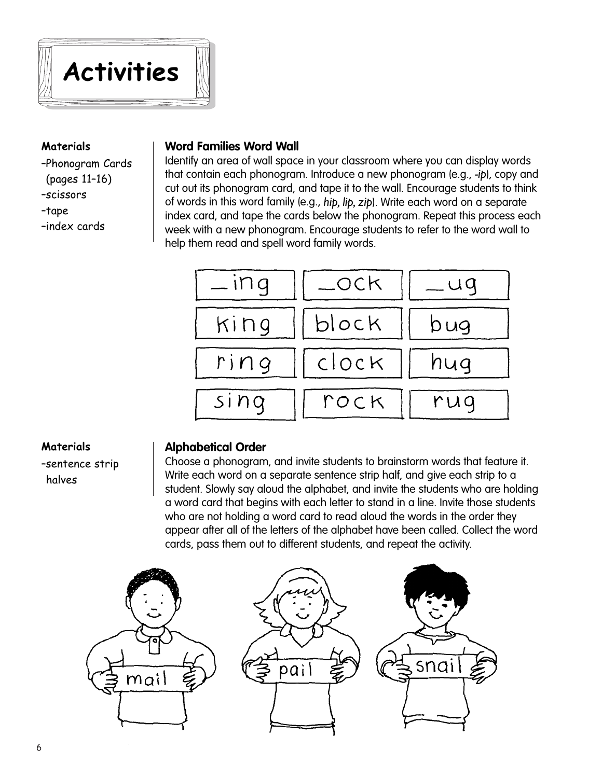

### **Materials**

–Phonogram Cards (pages 11–16) –scissors –tape –index cards

### **Word Families Word Wall**

Identify an area of wall space in your classroom where you can display words that contain each phonogram. Introduce a new phonogram (e.g., *-ip*), copy and cut out its phonogram card, and tape it to the wall. Encourage students to think of words in this word family (e.g., *hip, lip, zip*). Write each word on a separate index card, and tape the cards below the phonogram. Repeat this process each week with a new phonogram. Encourage students to refer to the word wall to help them read and spell word family words.



#### **Materials**

–sentence strip halves

#### **Alphabetical Order**

Choose a phonogram, and invite students to brainstorm words that feature it. Write each word on a separate sentence strip half, and give each strip to a student. Slowly say aloud the alphabet, and invite the students who are holding a word card that begins with each letter to stand in a line. Invite those students who are not holding a word card to read aloud the words in the order they appear after all of the letters of the alphabet have been called. Collect the word cards, pass them out to different students, and repeat the activity.

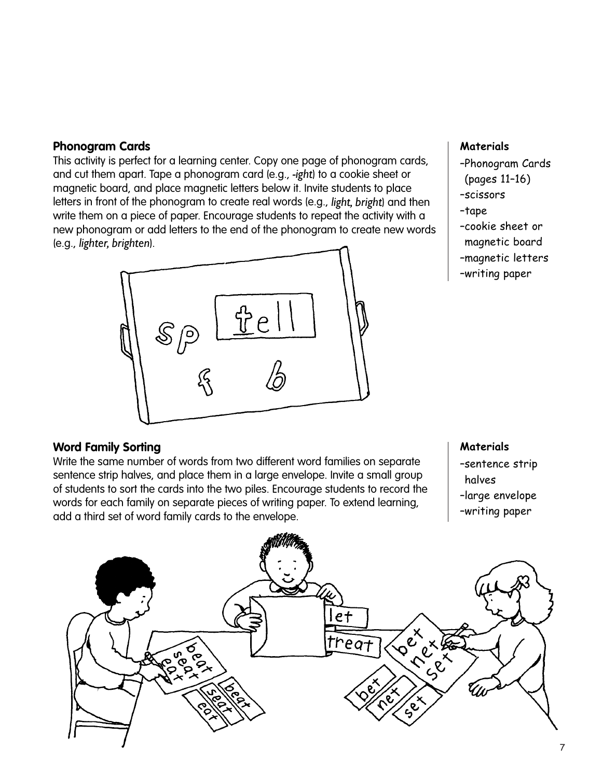## **Phonogram Cards**

This activity is perfect for a learning center. Copy one page of phonogram cards, and cut them apart. Tape a phonogram card (e.g., *-ight*) to a cookie sheet or magnetic board, and place magnetic letters below it. Invite students to place letters in front of the phonogram to create real words (e.g., *light, bright*) and then write them on a piece of paper. Encourage students to repeat the activity with a new phonogram or add letters to the end of the phonogram to create new words (e.g., *lighter, brighten*).



#### **Materials**

- –Phonogram Cards
- (pages 11–16)
- –scissors
- –tape
- –cookie sheet or
- magnetic board
- –magnetic letters
- –writing paper

## **Word Family Sorting**

Write the same number of words from two different word families on separate sentence strip halves, and place them in a large envelope. Invite a small group of students to sort the cards into the two piles. Encourage students to record the words for each family on separate pieces of writing paper. To extend learning, add a third set of word family cards to the envelope.

#### **Materials**

- –sentence strip halves
- –large envelope
- –writing paper

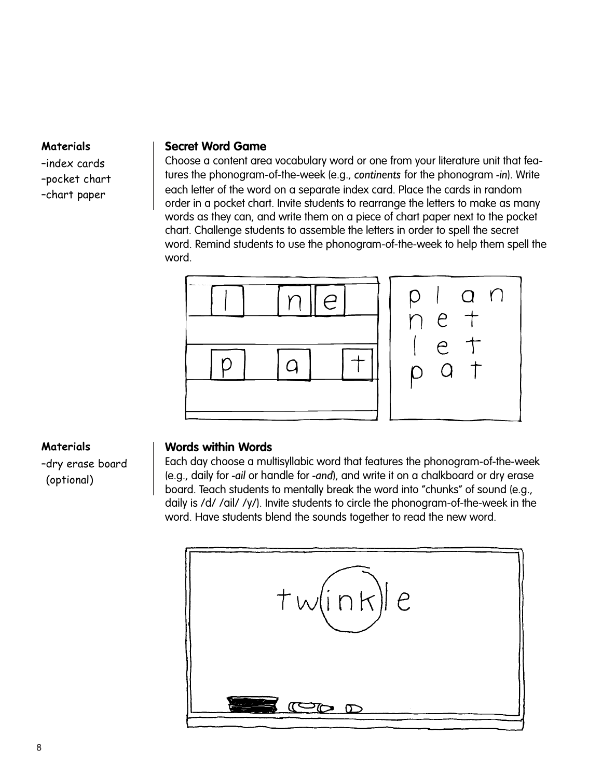#### **Materials**

–index cards –pocket chart

–chart paper

### **Secret Word Game**

Choose a content area vocabulary word or one from your literature unit that features the phonogram-of-the-week (e.g., *continents* for the phonogram *-in*). Write each letter of the word on a separate index card. Place the cards in random order in a pocket chart. Invite students to rearrange the letters to make as many words as they can, and write them on a piece of chart paper next to the pocket chart. Challenge students to assemble the letters in order to spell the secret word. Remind students to use the phonogram-of-the-week to help them spell the word.



## **Materials**

–dry erase board (optional)

#### **Words within Words**

Each day choose a multisyllabic word that features the phonogram-of-the-week (e.g., daily for *-ail* or handle for *-and*), and write it on a chalkboard or dry erase board. Teach students to mentally break the word into "chunks" of sound (e.g., daily is /d/ /ail/ /y/). Invite students to circle the phonogram-of-the-week in the word. Have students blend the sounds together to read the new word.

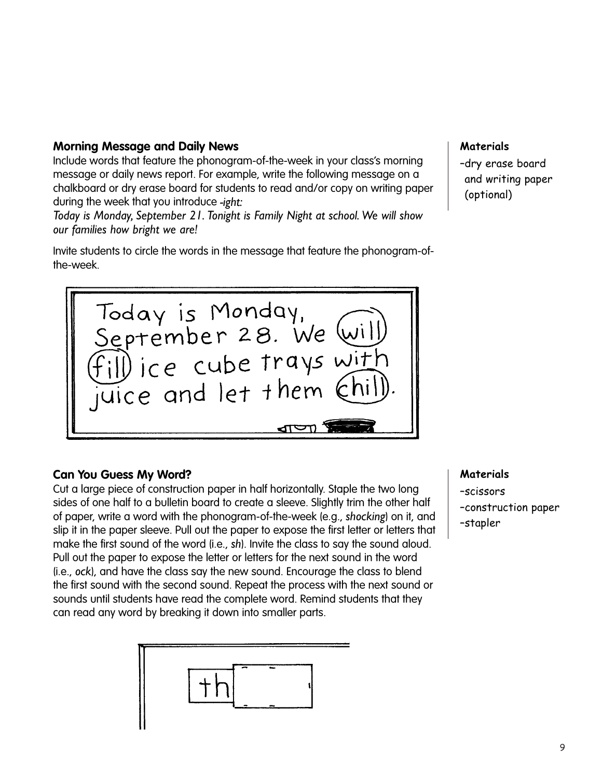## **Morning Message and Daily News**

Include words that feature the phonogram-of-the-week in your class's morning message or daily news report. For example, write the following message on a chalkboard or dry erase board for students to read and/or copy on writing paper during the week that you introduce *-ight:*

*Today is Monday, September 21. Tonight is Family Night at school. We will show our families how bright we are!* 

Invite students to circle the words in the message that feature the phonogram-ofthe-week.



# **Can You Guess My Word?**

Cut a large piece of construction paper in half horizontally. Staple the two long sides of one half to a bulletin board to create a sleeve. Slightly trim the other half of paper, write a word with the phonogram-of-the-week (e.g., *shocking*) on it, and slip it in the paper sleeve. Pull out the paper to expose the first letter or letters that make the first sound of the word (i.e., *sh*). Invite the class to say the sound aloud. Pull out the paper to expose the letter or letters for the next sound in the word (i.e., *ock*), and have the class say the new sound. Encourage the class to blend the first sound with the second sound. Repeat the process with the next sound or sounds until students have read the complete word. Remind students that they can read any word by breaking it down into smaller parts.



## **Materials**

–dry erase board and writing paper (optional)

#### **Materials**

–scissors –construction paper –stapler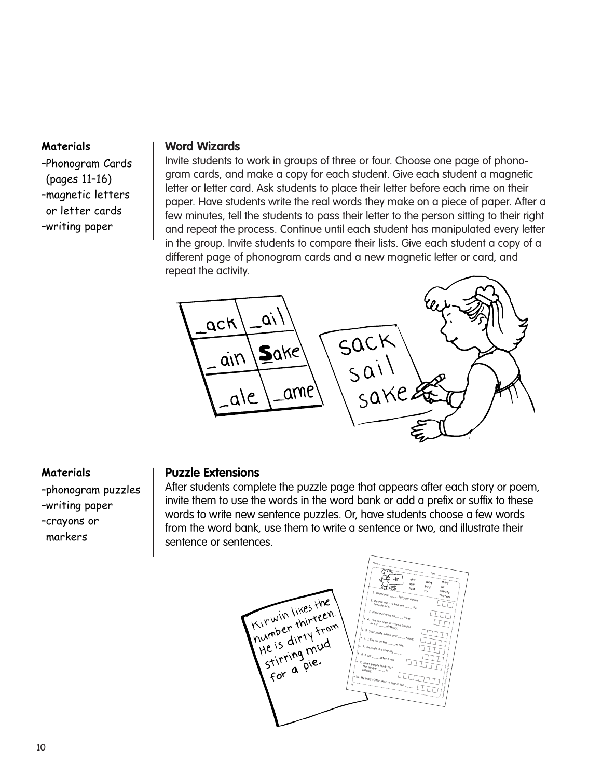#### **Materials**

–Phonogram Cards (pages 11–16) –magnetic letters or letter cards –writing paper

## **Word Wizards**

Invite students to work in groups of three or four. Choose one page of phonogram cards, and make a copy for each student. Give each student a magnetic letter or letter card. Ask students to place their letter before each rime on their paper. Have students write the real words they make on a piece of paper. After a few minutes, tell the students to pass their letter to the person sitting to their right and repeat the process. Continue until each student has manipulated every letter in the group. Invite students to compare their lists. Give each student a copy of a different page of phonogram cards and a new magnetic letter or card, and repeat the activity.



## **Materials**

–phonogram puzzles –writing paper –crayons or markers

## **Puzzle Extensions**

After students complete the puzzle page that appears after each story or poem, invite them to use the words in the word bank or add a prefix or suffix to these words to write new sentence puzzles. Or, have students choose a few words from the word bank, use them to write a sentence or two, and illustrate their sentence or sentences.

Name  $\overline{q_{33}}$  and the set of  $\overline{q_{33}}$  and  $\overline{q_{33}}$  and  $\overline{q_{33}}$  and  $\overline{q_{33}}$  and  $\overline{q_{33}}$  and  $\overline{q_{33}}$  and  $\overline{q_{33}}$  and  $\overline{q_{33}}$  and  $\overline{q_{33}}$  and  $\overline{q_{33}}$  and  $\overline{q_{33}}$  and  $\overline{q_{33}}$  and  $\$  $\overline{\phantom{a}}$ -ir **dirt shirt third stir bird sir first** Kirwin likes the **fir thirsty** Thank you, for your advice. **thirteen**  $\Box$ <sup>o</sup> you want to help me<br><sup>ownie</sup> miss Kinwin likes from<br>Inumber thirteen.<br>Inumber dirty from brownie mix?  $-$  the  $\mathbb{Z}$ 3. Pinecones grow on sinwin thirteem<br>number thirty from<br>the is dirty from<br>the isrring mud  $-$  trees. 4 . The boy blew out three candles<br>on his \_\_\_\_\_ birth-taxe candles on his  $-$  birthday. Your pants match your the is dirty ind  $\frac{m}{\text{m}}$  nicely. like to be the  $-$  in line. 7. An eagle is a very big  $\overline{\phantom{a}}$ stirring i.e.<br>for a pie. 8. <sup>I</sup> get  $\sim$  after I run. 9. Some people think that  $\begin{bmatrix} \frac{1}{2} \\ \frac{1}{2} \\ \frac{1}{2} \end{bmatrix}$ the number unlucky.  $\sim$  is 10. My baby sister likes to play in the  $\overline{H}$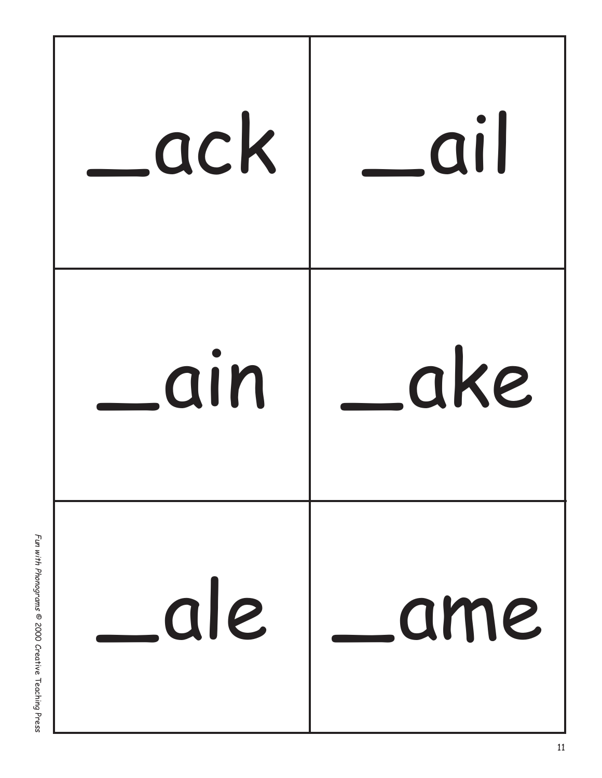

Fun with Phonograms © 2000 Creative Teaching Press